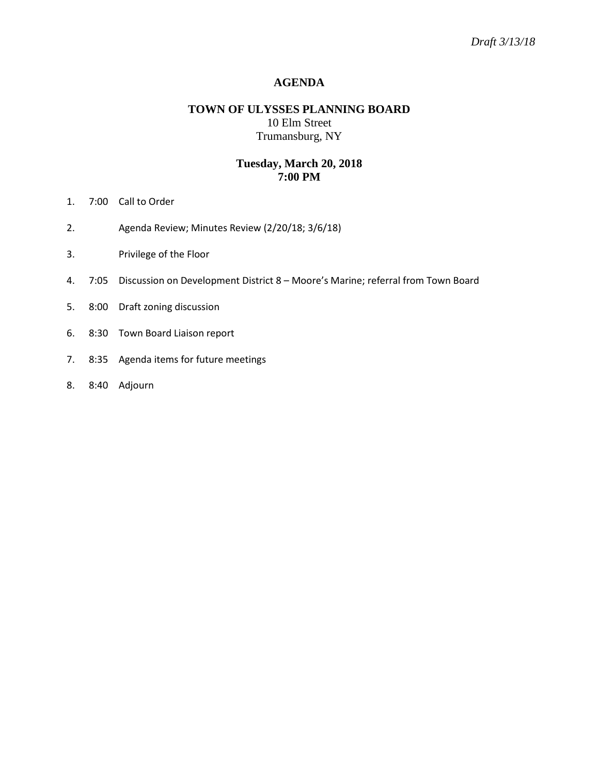### **AGENDA**

## **TOWN OF ULYSSES PLANNING BOARD** 10 Elm Street Trumansburg, NY

# **Tuesday, March 20, 2018 7:00 PM**

- 1. 7:00 Call to Order
- 2. Agenda Review; Minutes Review (2/20/18; 3/6/18)
- 3. Privilege of the Floor
- 4. 7:05 Discussion on Development District 8 Moore's Marine; referral from Town Board
- 5. 8:00 Draft zoning discussion
- 6. 8:30 Town Board Liaison report
- 7. 8:35 Agenda items for future meetings
- 8. 8:40 Adjourn